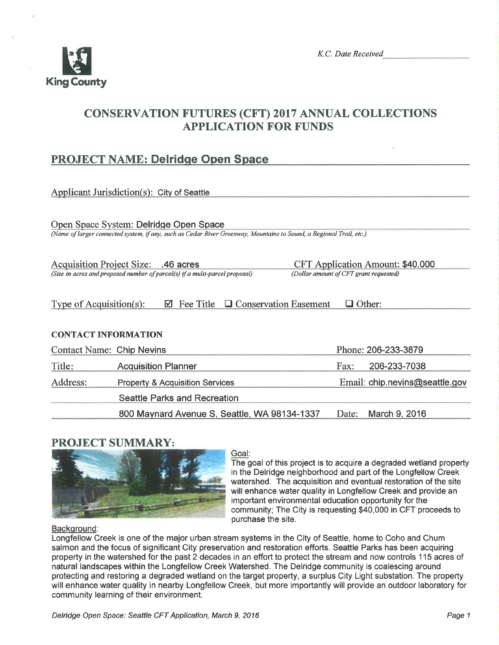

# CONSERVATION FUTURES (CFT) 2017 ANNUAL COLLECTIONS APPLICATION FOR FUNDS

## PROJECT NAME: Delridge Open Space

| Applicant Jurisdiction(s): City of Seattle                                                                                                                                                              |                                              |  |       |                                |  |  |
|---------------------------------------------------------------------------------------------------------------------------------------------------------------------------------------------------------|----------------------------------------------|--|-------|--------------------------------|--|--|
| Open Space System: Delridge Open Space<br>(Name of larger connected system, if any, such as Cedar River Greenway, Mountains to Sound, a Regional Trail, etc.)                                           |                                              |  |       |                                |  |  |
| Acquisition Project Size: .46 acres<br><b>CFT Application Amount: \$40,000</b><br>(Size in acres and proposed number of parcel(s) if a multi-parcel proposal)<br>(Dollar amount of CFT grant requested) |                                              |  |       |                                |  |  |
| Type of Acquisition(s):<br>Fee Title<br>$\Box$ Conservation Easement<br>$\Box$ Other:<br>М                                                                                                              |                                              |  |       |                                |  |  |
| <b>CONTACT INFORMATION</b>                                                                                                                                                                              |                                              |  |       |                                |  |  |
| <b>Contact Name: Chip Nevins</b>                                                                                                                                                                        |                                              |  |       | Phone: 206-233-3879            |  |  |
| Title:                                                                                                                                                                                                  | <b>Acquisition Planner</b>                   |  | Fax:  | 206-233-7038                   |  |  |
| Address:                                                                                                                                                                                                | <b>Property &amp; Acquisition Services</b>   |  |       | Email: chip.nevins@seattle.gov |  |  |
|                                                                                                                                                                                                         | <b>Seattle Parks and Recreation</b>          |  |       |                                |  |  |
|                                                                                                                                                                                                         | 800 Maynard Avenue S, Seattle, WA 98134-1337 |  | Date: | March 9, 2016                  |  |  |

## PROJECT SUMMARY:



## Goal:

The goal of this project is to acquire a degraded wetland property in the Delridge neighborhood and part of the Longfellow Creek watershed. The acquisition and eventual restoration of the site will enhance water quality in Longfellow Creek and provide an important environmental education opportunity for the community; The City is requesting \$40,000 in CFT proceeds to purchase the site.

#### Background:

Longfellow Creek is one of the major urban stream systems in the City of Seattle, horne to Coho and Chum salmon and the focus of significant City preservation and restoration efforts. Seattle Parks has been acquiring property in the watershed for the past 2 decades in an effort to protect the stream and now controls 115 acres of natural landscapes within the Longfellow Creek Watershed. The Delridge community is coalescing around protecting and restoring a degraded wetland on the target property, a surplus City Light substation. The property will enhance water quality in nearby Longfellow Creek, but more importantly will provide an outdoor laboratory for community learning of their environment.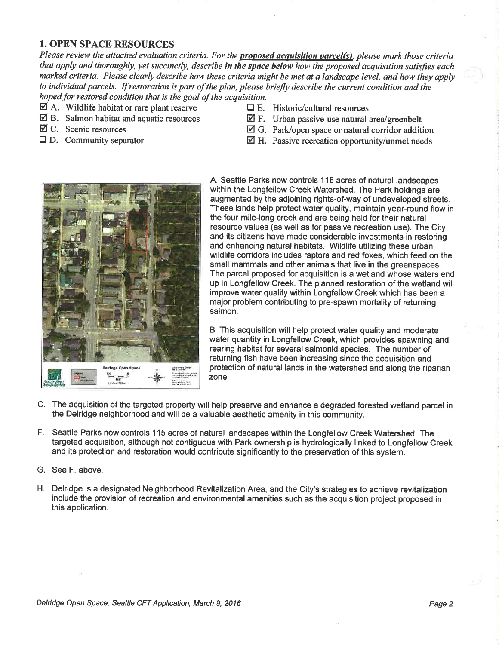#### 1. OPEN SPACE RESOURCES

Please review the attached evaluation criteria. For the **proposed acquisition parcel(s)**, please mark those criteria that apply and thoroughly, yet succinctly, describe in the space below how the proposed acquisition satisfies each marked criteria. Please clearly describe how these criteria might be met at a landscape level, and how they apply to individual parcels. If restoration is part of the plan, please briefly describe the current condition and the hoped for restored condition that is the goal of the acquisition.

- $\Box$  A. Wildlife habitat or rare plant reserve  $\Box$  E. Historic/cultural resources  $\Box$  B. Salmon habitat and aquatic resources  $\Box$  F. Urban passive-use natural
- 
- 
- 
- 
- $\boxtimes$  B. Salmon habitat and aquatic resources  $\boxtimes$  F. Urban passive-use natural area/greenbelt  $\boxtimes$  C. Scenic resources  $\boxtimes$  G. Park/open space or natural corridor addit
	- $\boxtimes$  G. Park/open space or natural corridor addition
- $\Box$  D. Community separator  $\Box$  H. Passive recreation opportunity/unmet needs



A. Seattle Parks now controls I 15 acres of natural landscapes within the Longfellow Creek Watershed. The Park holdings are augmented by the adjoining rights-of-way of undeveloped streets. These lands help protect water quality, maintain year-round flow in the four-mile-long creek and are being held for their natural resource values (as well as for passive recreation use). The City and its citizens have made considerable investments in restoring and enhancing natural habitats. Wildlife utilizing these urban wildlife corridors includes raptors and red foxes, which feed on the small mammals and other animals that live in the greenspaces. The parcel proposed for acquisition is a wetland whose waters end up in Longfellow Creek. The planned restoration of the wetland will improve water quality within Longfellow Creek which has been a major problem contributing to pre-spawn mortality of returning salmon.

B. This acquisition will help protect water quality and moderate water quantity in Longfellow Creek, which provides spawning and rearing habitat for several salmonid species. The number of returning fish have been increasing since the acquisition and protection of natural lands in the watershed and along the riparian zone.

- C. The acquisition of the targeted property will help preserve and enhance a degraded forested wetland parcel in the Delridge neighborhood and will be a valuable aesthetic amenity in this community.
- F. Seattle Parks now controls 115 acres of natural landscapes within the Longfellow Creek Watershed. The targeted acquisition, although not contiguous with Park ownership is hydrologically linked to Longfellow Creek and its protection and restoration would contribute significantly to the preservation of this system.
- G. See F. above.
- H. Delridge is a designated Neighborhood Revitalization Area, and the City's strategies to achieve revitalization include the provision of recreation and environmental amenities such as the acquisition project proposed in this application.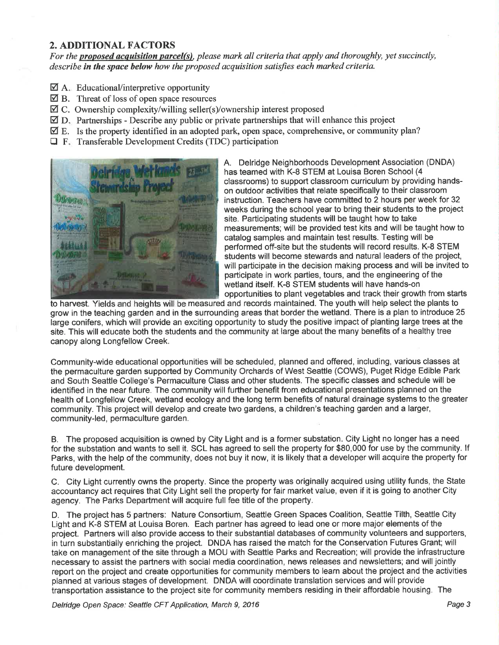#### 2. ADDITIONAL FACTORS

For the proposed acquisition parcel(s), please mark all criteria that apply and thoroughly, yet succinctly, describe in the space below how the proposed acquisition satisfies each marked criteria.

- $\mathbf{\nabla}$  A. Educational/interpretive opportunity
- $\overline{\boxtimes}$  B. Threat of loss of open space resources
- ØC. Ownership complexity/willing seller(s)/ownership interest proposed
- $\Box$  D. Partnerships Describe any public or private partnerships that will enhance this project
- $\mathbf{\nabla}$  E. Is the property identified in an adopted park, open space, comprehensive, or community plan?
- $\Box$  F. Transferable Development Credits (TDC) participation



A. Delridge Neighborhoods Development Association (DNDA) has teamed with K-8 STEM at Louisa Boren School (4 classrooms) to support classroom curriculum by providing handson outdoor activities that relate specifically to their classroom instruction. Teachers have committed to 2 hours per week for 32 weeks during the school year to bring their students to the project site. Participating students will be taught how to take measurements; will be provided test kits and will be taught how to catalog samples and maintain test results. Testing will be performed off-site but the students will record results. K-8 STEM students will become stewards and natural leaders of the project, will participate in the decision making process and will be invited to participate in work parties, tours, and the engineering of the wetland itself. K-8 STEM students will have hands-on opportunities to plant vegetables and track their growth from starts

to harvest. Yields and heights will be measured and records maintained. The youth will help select the plants to grow in the teaching garden and in the surrounding areas that border the wetland. There is a plan to introduce 25 large conifers, which will provide an exciting opportunity to study the positive impact of planting large trees at the site. This will educate both the students and the community at large about the many benefits of a healthy tree canopy along Longfellow Creek.

Community-wide educational opportunities will be scheduled, planned and offered, including, various classes at the permaculture garden supported by Community Orchards of West Seattle (COWS), Puget Ridge Edible Park and South Seattle College's Permaculture Class and other students. The specific classes and schedule will be identified in the near future. The community will further benefit from educational presentations planned on the health of Longfellow Creek, wetland ecology and the long term benefits of natural drainage systems to the greater community. This project will develop and create two gardens, a children's teaching garden and a larger, community-led, permaculture garden.

B. The proposed acquisition is owned by City Light and is a former substation. City Light no longer has a need for the substation and wants to sell it. SCL has agreed to sell the property for \$80,000 for use by the community. lf Parks, with the help of the community, does not buy it now, it is likely that a developer will acquire the property for future development.

C. City Light currently owns the property. Since the property was originally acquired using utility funds, the State accountancy act requires that City Light sell the property for fair market value, even if it is going to another City agency. The Parks Department will acquire full fee title of the property.

D. The project has 5 partners: Nature Consortium, Seattle Green Spaces Coalition, Seattle Tilth, Seattle City Light and K-8 STEM at Louisa Boren. Each partner has agreed to lead one or more major elements of the project. Partners will also provide access to their substantial databases of community volunteers and supporters, in turn substantially enriching the project. DNDA has raised the match for the Conservation Futures Grant; will take on management of the site through a MOU with Seattle Parks and Recreation; will provide the infrastructure necessary to assist the partners with social media coordination, news releases and newsletters; and willjointly report on the project and create opportunities for community members to learn about the project and the activities planned at various stages of development. DNDA will coordinate translation services and will provide transportation assistance to the project site for community members residing in their affordable housing. The

Delridge Open Space: Seattle CFT Application, March 9, 2016 **Page 3** Application Page 3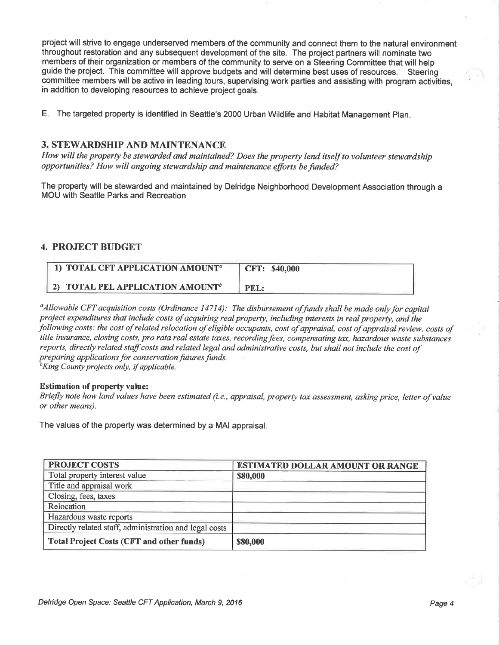project will strive to engage underserved members of the community and connect them to the natural environment throughout restoration and any subsequent development of the site. The project partners will nominate two members of their organization or members of the community to serve on a Steering Committee that will help<br>guide the project. This committee will approve budgets and will determine best uses of resources. Steering guide the project. This committee will approve budgets and will determine best uses of resources. committee members will be active in leading tours, supervising work parties and assisting with program activities, in addition to developing resources to achieve project goals.

E. The targeted property is identified in Seattle's 2000 Urban Wildlife and Habitat Management Plan

#### 3. STEWARDSHIP AND MAINTENANCE

How will the property be stewarded and maintained? Does the property lend itself to volunteer stewardship opportunities? How will ongoing stewardship and maintenance efforts be funded?

The property will be stewarded and maintained by Delridge Neighborhood Development Association through a MOU with Seattle Parks and Recreation

#### 4. PROJECT BUDGET

| 1) TOTAL CFT APPLICATION AMOUNT <sup>a</sup> | <b>CFT: \$40,000</b> |
|----------------------------------------------|----------------------|
| 2) TOTAL PEL APPLICATION AMOUNT <sup>b</sup> | PEL:                 |

 $\alpha$ Allowable CFT acquisition costs (Ordinance 14714): The disbursement of funds shall be made only for capital project expenditures that include costs of acquiring real property, including interests in real property, and the following costs: the cost of related relocation of eligible occupants, cost of appraisal, cost of appraisal review, costs of title insurance, closing costs, pro rata real estate taxes, recording fees, compensating tax, hazardous waste substances reports, directly related staff costs and related legal and administrative costs, but shall not include the cost of preparing applications for conservation futures funds.<br> ${}^{b}$ King County projects only, if applicable.

#### Estimation of property value:

Briefly note how land values have been estimated (i.e., appraisal, properly tax assessment, asking price, letter of value or other means),

The values of the property was determined by a MAI appraisal.

| <b>PROJECT COSTS</b>                                   | <b>ESTIMATED DOLLAR AMOUNT OR RANGE</b> |  |  |
|--------------------------------------------------------|-----------------------------------------|--|--|
| Total property interest value                          | \$80,000                                |  |  |
| Title and appraisal work                               |                                         |  |  |
| Closing, fees, taxes                                   |                                         |  |  |
| Relocation                                             |                                         |  |  |
| Hazardous waste reports                                |                                         |  |  |
| Directly related staff, administration and legal costs |                                         |  |  |
| <b>Total Project Costs (CFT and other funds)</b>       | \$80,000                                |  |  |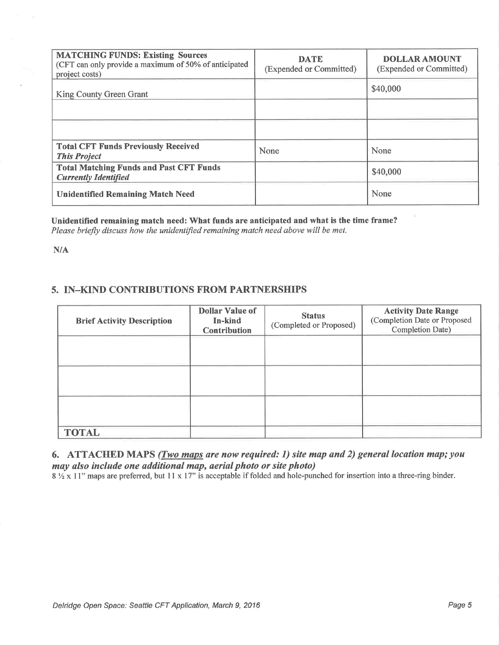| <b>MATCHING FUNDS: Existing Sources</b><br>(CFT can only provide a maximum of 50% of anticipated<br>project costs) | <b>DATE</b><br>(Expended or Committed) | <b>DOLLAR AMOUNT</b><br>(Expended or Committed) |  |  |
|--------------------------------------------------------------------------------------------------------------------|----------------------------------------|-------------------------------------------------|--|--|
| King County Green Grant                                                                                            |                                        | \$40,000                                        |  |  |
|                                                                                                                    |                                        |                                                 |  |  |
|                                                                                                                    |                                        |                                                 |  |  |
| <b>Total CFT Funds Previously Received</b><br><b>This Project</b>                                                  | None                                   | None                                            |  |  |
| <b>Total Matching Funds and Past CFT Funds</b><br><b>Currently Identified</b>                                      |                                        | \$40,000                                        |  |  |
| <b>Unidentified Remaining Match Need</b>                                                                           |                                        | None                                            |  |  |

Unidentified remaining match need: What funds are anticipated and what is the time frame? Please briefly discuss how the unidentified remaining match need above will be met.

 $N/A$ 

### 5. IN-KIND CONTRIBUTIONS FROM PARTNERSHIPS

| <b>Brief Activity Description</b> | <b>Dollar Value of</b><br>In-kind<br><b>Contribution</b> | <b>Status</b><br>(Completed or Proposed) | <b>Activity Date Range</b><br>(Completion Date or Proposed<br>Completion Date) |
|-----------------------------------|----------------------------------------------------------|------------------------------------------|--------------------------------------------------------------------------------|
|                                   |                                                          |                                          |                                                                                |
|                                   |                                                          |                                          |                                                                                |
|                                   |                                                          |                                          |                                                                                |
| <b>TOTAL</b>                      |                                                          |                                          |                                                                                |

6. ATTACHED MAPS (*Two maps are now required: 1*) site map and 2) general location map; you may also include one additional map, aerial photo or site photo)

 $8\frac{1}{2}$  x 11" maps are preferred, but 11 x 17" is acceptable if folded and hole-punched for insertion into a three-ring binder.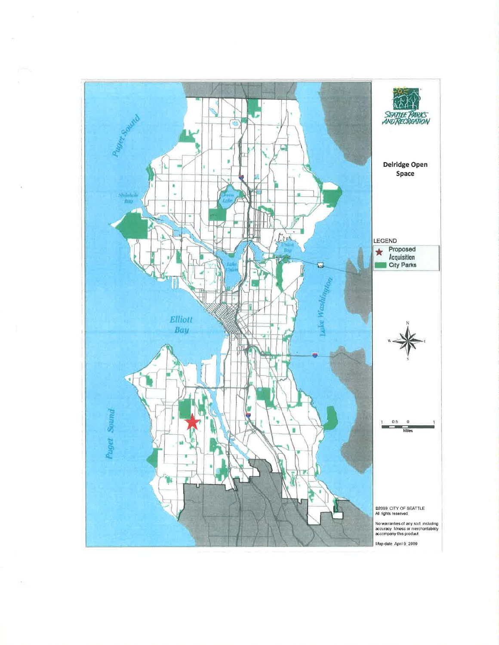

 $\epsilon_{\parallel}$